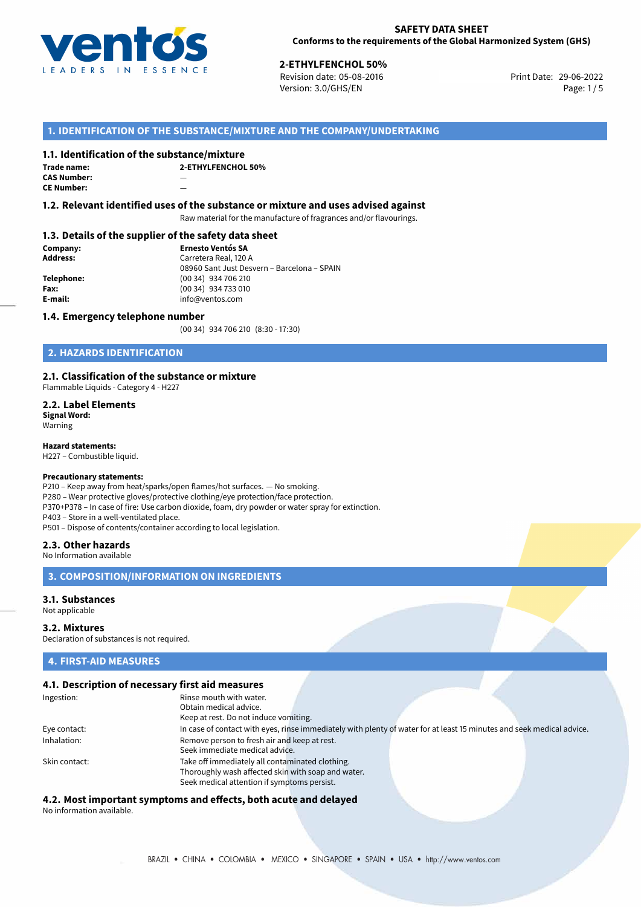

**2-ETHYLFENCHOL 50%**<br>Revision date: 05-08-2016 **Revision date: 05-08-2016** Print Date: 29-06-2022 Version: 3.0/GHS/EN Page: 1/5

#### **1. IDENTIFICATION OF THE SUBSTANCE/MIXTURE AND THE COMPANY/UNDERTAKING**

#### **1.1. Identification of the substance/mixture**

| Trade name:        | ን- |
|--------------------|----|
| <b>CAS Number:</b> |    |
| <b>CE Number:</b>  |    |

**2-ETHYLFENCHOL 50%**

#### **1.2. Relevant identified uses of the substance or mixture and uses advised against**

Raw material for the manufacture of fragrances and/or flavourings.

#### **1.3. Details of the supplier of the safety data sheet**

**Company: Ernesto Ventós SA Address:** Carretera Real, 120 A 08960 Sant Just Desvern – Barcelona – SPAIN **Telephone:** (00 34) 934 706 210 **Fax:** (00 34) 934 733 010<br> **E-mail: E-mail:** info@ventos.com **E-mail:** info@ventos.com

#### **1.4. Emergency telephone number**

(00 34) 934 706 210 (8:30 - 17:30)

#### **2. HAZARDS IDENTIFICATION**

#### **2.1. Classification of the substance or mixture**

Flammable Liquids - Category 4 - H227

**2.2. Label Elements Signal Word:** Warning

**Hazard statements:**

H227 – Combustible liquid.

#### **Precautionary statements:**

P210 – Keep away from heat/sparks/open flames/hot surfaces. — No smoking. P280 – Wear protective gloves/protective clothing/eye protection/face protection. P370+P378 – In case of fire: Use carbon dioxide, foam, dry powder or water spray for extinction. P403 – Store in a well-ventilated place. P501 – Dispose of contents/container according to local legislation.

#### **2.3. Other hazards**

No Information available

#### **3. COMPOSITION/INFORMATION ON INGREDIENTS**

#### **3.1. Substances**

Not applicable

#### **3.2. Mixtures**

Declaration of substances is not required.

#### **4. FIRST-AID MEASURES**

### **4.1. Description of necessary first aid measures**

| Ingestion:    | Rinse mouth with water.                            |                                                                                                                       |  |
|---------------|----------------------------------------------------|-----------------------------------------------------------------------------------------------------------------------|--|
|               | Obtain medical advice.                             |                                                                                                                       |  |
|               | Keep at rest. Do not induce vomiting.              |                                                                                                                       |  |
| Eye contact:  |                                                    | In case of contact with eyes, rinse immediately with plenty of water for at least 15 minutes and seek medical advice. |  |
| Inhalation:   | Remove person to fresh air and keep at rest.       |                                                                                                                       |  |
|               | Seek immediate medical advice.                     |                                                                                                                       |  |
| Skin contact: | Take off immediately all contaminated clothing.    |                                                                                                                       |  |
|               | Thoroughly wash affected skin with soap and water. |                                                                                                                       |  |
|               | Seek medical attention if symptoms persist.        |                                                                                                                       |  |
|               |                                                    |                                                                                                                       |  |

## **4.2. Most important symptoms and effects, both acute and delayed**

No information available.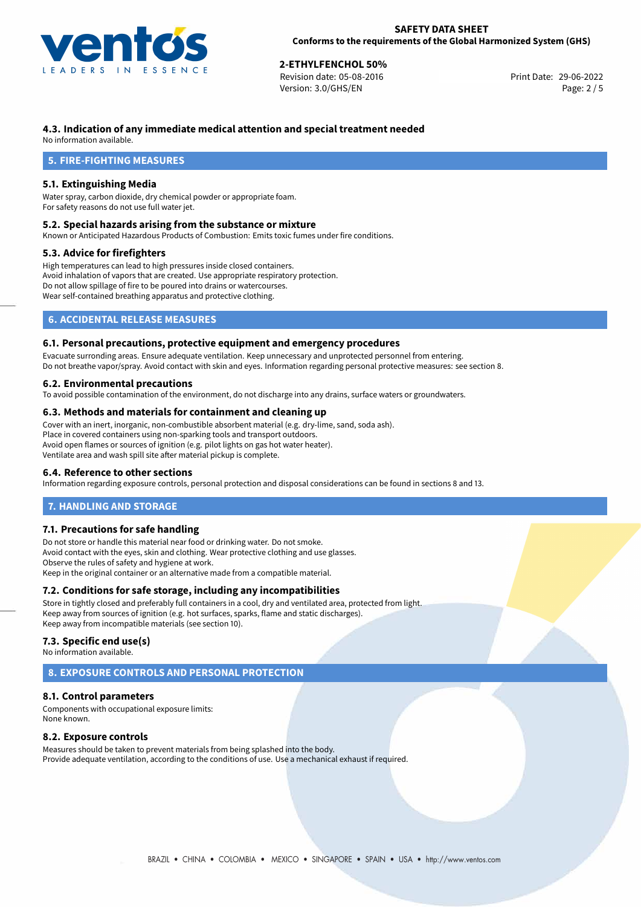

## **2-ETHYLFENCHOL 50%**<br>Revision date: 05-08-2016 **2008** 2009 **2008 2018** Print Date: 29-06-2022

Revision date: 05-08-2016 Version: 3.0/GHS/EN Page: 2 / 5

#### **4.3. Indication of any immediate medical attention and special treatment needed**

No information available.

#### **5. FIRE-FIGHTING MEASURES**

#### **5.1. Extinguishing Media**

Water spray, carbon dioxide, dry chemical powder or appropriate foam. For safety reasons do not use full water jet.

#### **5.2. Special hazards arising from the substance or mixture**

Known or Anticipated Hazardous Products of Combustion: Emits toxic fumes under fire conditions.

#### **5.3. Advice for firefighters**

High temperatures can lead to high pressures inside closed containers. Avoid inhalation of vapors that are created. Use appropriate respiratory protection. Do not allow spillage of fire to be poured into drains or watercourses. Wear self-contained breathing apparatus and protective clothing.

#### **6. ACCIDENTAL RELEASE MEASURES**

#### **6.1. Personal precautions, protective equipment and emergency procedures**

Evacuate surronding areas. Ensure adequate ventilation. Keep unnecessary and unprotected personnel from entering. Do not breathe vapor/spray. Avoid contact with skin and eyes. Information regarding personal protective measures: see section 8.

#### **6.2. Environmental precautions**

To avoid possible contamination of the environment, do not discharge into any drains, surface waters or groundwaters.

#### **6.3. Methods and materials for containment and cleaning up**

Cover with an inert, inorganic, non-combustible absorbent material (e.g. dry-lime, sand, soda ash). Place in covered containers using non-sparking tools and transport outdoors. Avoid open flames or sources of ignition (e.g. pilot lights on gas hot water heater). Ventilate area and wash spill site after material pickup is complete.

#### **6.4. Reference to other sections**

Information regarding exposure controls, personal protection and disposal considerations can be found in sections 8 and 13.

#### **7. HANDLING AND STORAGE**

#### **7.1. Precautions for safe handling**

Do not store or handle this material near food or drinking water. Do not smoke. Avoid contact with the eyes, skin and clothing. Wear protective clothing and use glasses. Observe the rules of safety and hygiene at work. Keep in the original container or an alternative made from a compatible material.

#### **7.2. Conditions for safe storage, including any incompatibilities**

Store in tightly closed and preferably full containers in a cool, dry and ventilated area, protected from light. Keep away from sources of ignition (e.g. hot surfaces, sparks, flame and static discharges). Keep away from incompatible materials (see section 10).

#### **7.3. Specific end use(s)**

No information available.

#### **8. EXPOSURE CONTROLS AND PERSONAL PROTECTION**

#### **8.1. Control parameters**

Components with occupational exposure limits: None known.

#### **8.2. Exposure controls**

Measures should be taken to prevent materials from being splashed into the body. Provide adequate ventilation, according to the conditions of use. Use a mechanical exhaust if required.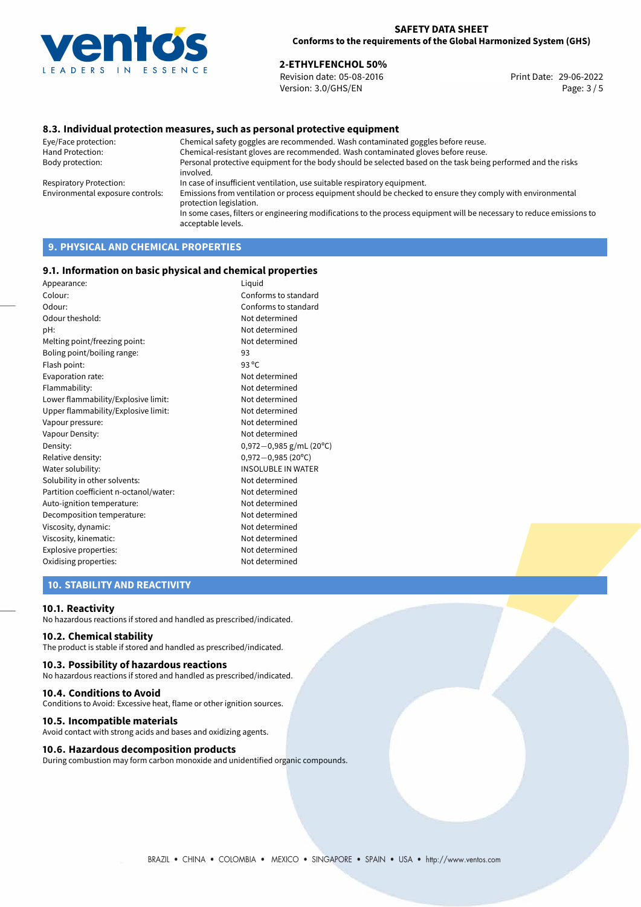

# **2-ETHYLFENCHOL 50%**<br> **29-06-2022 2016**<br> **29-06-2022 2016**

Revision date: 05-08-2016 Version: 3.0/GHS/EN Page: 3 / 5

#### **8.3. Individual protection measures, such as personal protective equipment**

Eye/Face protection: Chemical safety goggles are recommended. Wash contaminated goggles before reuse. Chemical-resistant gloves are recommended. Wash contaminated gloves before reuse. Body protection: Personal protective equipment for the body should be selected based on the task being performed and the risks involved. Respiratory Protection: In case of insufficient ventilation, use suitable respiratory equipment. Environmental exposure controls: Emissions from ventilation or process equipment should be checked to ensure they comply with environmental protection legislation. In some cases, filters or engineering modifications to the process equipment will be necessary to reduce emissions to acceptable levels.

### **9. PHYSICAL AND CHEMICAL PROPERTIES**

#### **9.1. Information on basic physical and chemical properties**

| Liquid                       |
|------------------------------|
| Conforms to standard         |
| Conforms to standard         |
| Not determined               |
| Not determined               |
| Not determined               |
| 93                           |
| 93 $^{\circ}$ C              |
| Not determined               |
| Not determined               |
| Not determined               |
| Not determined               |
| Not determined               |
| Not determined               |
| $0,972-0,985$ g/mL (20°C)    |
| $0,972 - 0,985(20^{\circ}C)$ |
| <b>INSOLUBLE IN WATER</b>    |
| Not determined               |
| Not determined               |
| Not determined               |
| Not determined               |
| Not determined               |
| Not determined               |
| Not determined               |
| Not determined               |
|                              |

#### **10. STABILITY AND REACTIVITY**

#### **10.1. Reactivity**

No hazardous reactions if stored and handled as prescribed/indicated.

#### **10.2. Chemical stability**

The product is stable if stored and handled as prescribed/indicated.

#### **10.3. Possibility of hazardous reactions**

No hazardous reactions if stored and handled as prescribed/indicated.

#### **10.4. Conditions to Avoid**

Conditions to Avoid: Excessive heat, flame or other ignition sources.

#### **10.5. Incompatible materials**

Avoid contact with strong acids and bases and oxidizing agents.

#### **10.6. Hazardous decomposition products**

During combustion may form carbon monoxide and unidentified organic compounds.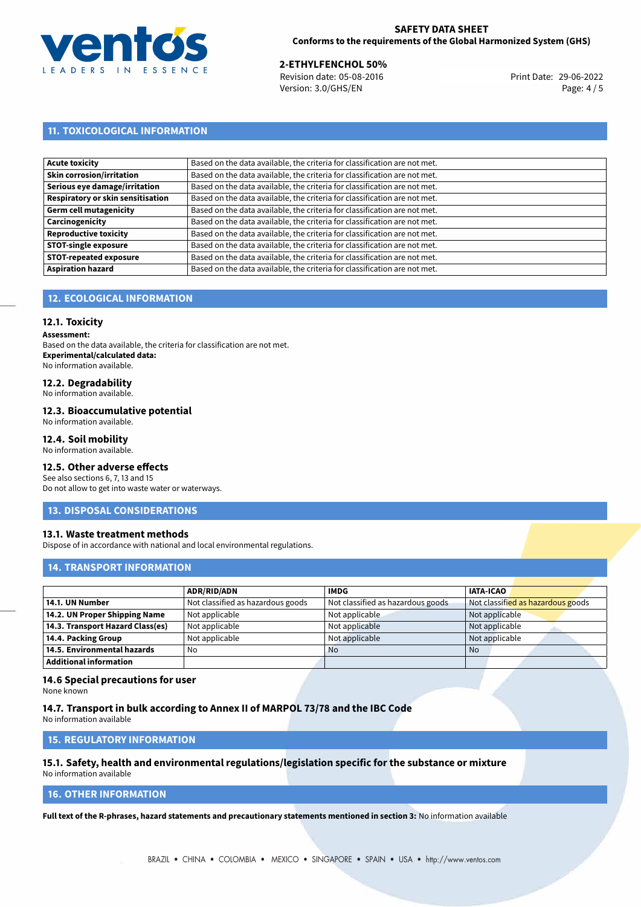

#### **SAFETY DATA SHEET Conforms to the requirements of the Global Harmonized System (GHS)**

**2-ETHYLFENCHOL 50%**<br>
Revision date: 05-08-2016 **Print Date: 29-06-2022** Version: 3.0/GHS/EN Page: 4 / 5

### **11. TOXICOLOGICAL INFORMATION**

| <b>Acute toxicity</b>             | Based on the data available, the criteria for classification are not met. |
|-----------------------------------|---------------------------------------------------------------------------|
| <b>Skin corrosion/irritation</b>  | Based on the data available, the criteria for classification are not met. |
| Serious eye damage/irritation     | Based on the data available, the criteria for classification are not met. |
| Respiratory or skin sensitisation | Based on the data available, the criteria for classification are not met. |
| Germ cell mutagenicity            | Based on the data available, the criteria for classification are not met. |
| Carcinogenicity                   | Based on the data available, the criteria for classification are not met. |
| <b>Reproductive toxicity</b>      | Based on the data available, the criteria for classification are not met. |
| <b>STOT-single exposure</b>       | Based on the data available, the criteria for classification are not met. |
| <b>STOT-repeated exposure</b>     | Based on the data available, the criteria for classification are not met. |
| <b>Aspiration hazard</b>          | Based on the data available, the criteria for classification are not met. |

#### **12. ECOLOGICAL INFORMATION**

#### **12.1. Toxicity**

**Assessment:**

Based on the data available, the criteria for classification are not met. **Experimental/calculated data:** No information available.

#### **12.2. Degradability**

No information available.

#### **12.3. Bioaccumulative potential**

No information available.

#### **12.4. Soil mobility**

No information available.

#### **12.5. Other adverse effects**

See also sections 6, 7, 13 and 15 Do not allow to get into waste water or waterways.

#### **13. DISPOSAL CONSIDERATIONS**

#### **13.1. Waste treatment methods**

Dispose of in accordance with national and local environmental regulations.

#### **14. TRANSPORT INFORMATION**

|                                  | <b>ADR/RID/ADN</b>                | <b>IMDG</b>                       | <b>IATA-ICAO</b>                  |
|----------------------------------|-----------------------------------|-----------------------------------|-----------------------------------|
| 14.1. UN Number                  | Not classified as hazardous goods | Not classified as hazardous goods | Not classified as hazardous goods |
| 14.2. UN Proper Shipping Name    | Not applicable                    | Not applicable                    | Not applicable                    |
| 14.3. Transport Hazard Class(es) | Not applicable                    | Not applicable                    | Not applicable                    |
| 14.4. Packing Group              | Not applicable                    | Not applicable                    | Not applicable                    |
| 14.5. Environmental hazards      | No                                | <b>No</b>                         | No                                |
| <b>Additional information</b>    |                                   |                                   |                                   |

#### **14.6 Special precautions for user**

None known

#### **14.7. Transport in bulk according to Annex II of MARPOL 73/78 and the IBC Code**

No information available

#### **15. REGULATORY INFORMATION**

#### **15.1. Safety, health and environmental regulations/legislation specific for the substance or mixture** No information available

### **16. OTHER INFORMATION**

**Full text of the R-phrases, hazard statements and precautionary statements mentioned in section 3:** No information available